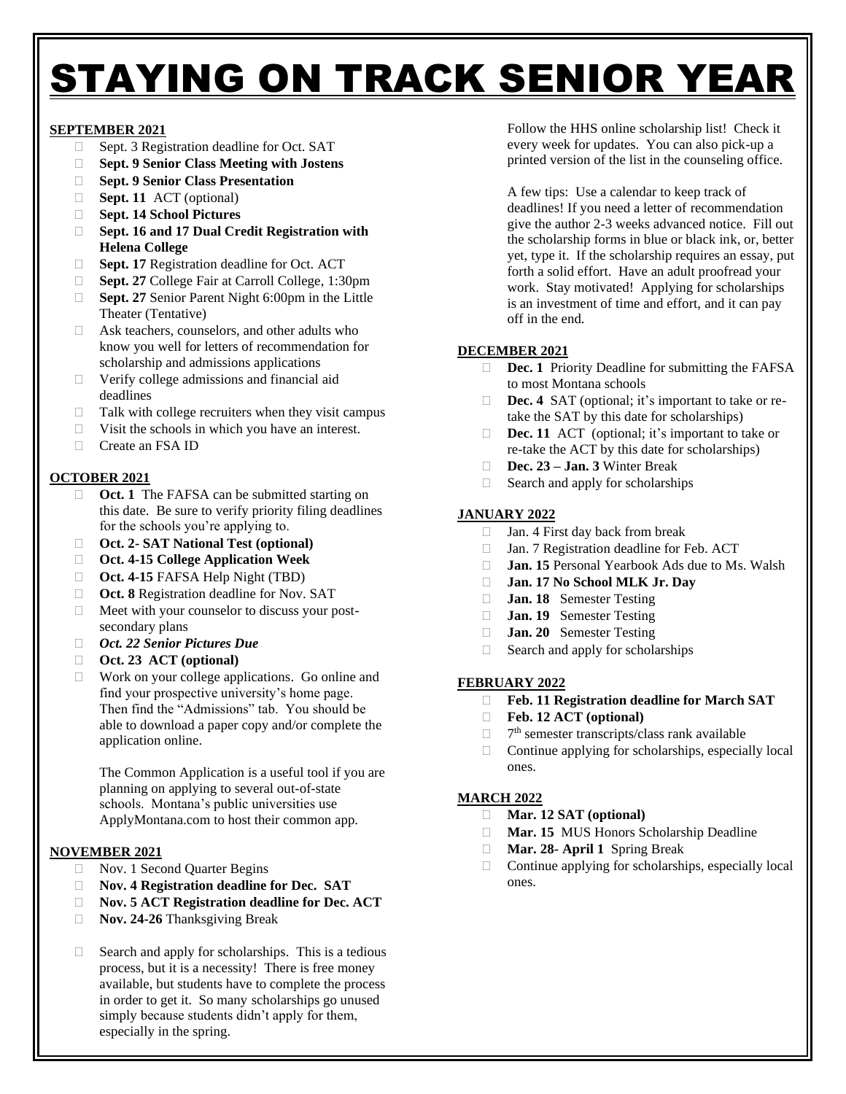# STAYING ON TRACK SENIOR YEAR

## **SEPTEMBER 2021**

- $\Box$  Sept. 3 Registration deadline for Oct. SAT
- **Sept. 9 Senior Class Meeting with Jostens**
- **Sept. 9 Senior Class Presentation**
- **Sept. 11** ACT (optional)
- **Sept. 14 School Pictures**
- **Sept. 16 and 17 Dual Credit Registration with Helena College**
- □ **Sept. 17** Registration deadline for Oct. ACT
- □ **Sept. 27** College Fair at Carroll College, 1:30pm
- □ **Sept. 27** Senior Parent Night 6:00pm in the Little Theater (Tentative)
- □ Ask teachers, counselors, and other adults who know you well for letters of recommendation for scholarship and admissions applications
- $\Box$  Verify college admissions and financial aid deadlines
- $\Box$  Talk with college recruiters when they visit campus
- $\Box$  Visit the schools in which you have an interest.
- Create an FSA ID

# **OCTOBER 2021**

- □ **Oct. 1** The FAFSA can be submitted starting on this date. Be sure to verify priority filing deadlines for the schools you're applying to.
- **Oct. 2- SAT National Test (optional)**
- **Oct. 4-15 College Application Week**
- **Oct. 4-15** FAFSA Help Night (TBD)
- □ **Oct. 8** Registration deadline for Nov. SAT
- $\Box$  Meet with your counselor to discuss your postsecondary plans
- *Oct. 22 Senior Pictures Due*
- **Oct. 23 ACT (optional)**
- □ Work on your college applications. Go online and find your prospective university's home page. Then find the "Admissions" tab. You should be able to download a paper copy and/or complete the application online.

The Common Application is a useful tool if you are planning on applying to several out-of-state schools. Montana's public universities use ApplyMontana.com to host their common app.

## **NOVEMBER 2021**

- □ Nov. 1 Second Quarter Begins
- **Nov. 4 Registration deadline for Dec. SAT**
- **Nov. 5 ACT Registration deadline for Dec. ACT**
- **Nov. 24-26** Thanksgiving Break
- $\Box$  Search and apply for scholarships. This is a tedious process, but it is a necessity! There is free money available, but students have to complete the process in order to get it. So many scholarships go unused simply because students didn't apply for them, especially in the spring.

Follow the HHS online scholarship list! Check it every week for updates. You can also pick-up a printed version of the list in the counseling office.

A few tips: Use a calendar to keep track of deadlines! If you need a letter of recommendation give the author 2-3 weeks advanced notice. Fill out the scholarship forms in blue or black ink, or, better yet, type it. If the scholarship requires an essay, put forth a solid effort. Have an adult proofread your work. Stay motivated! Applying for scholarships is an investment of time and effort, and it can pay off in the end.

## **DECEMBER 2021**

- **Dec. 1** Priority Deadline for submitting the FAFSA to most Montana schools
- □ **Dec. 4** SAT (optional; it's important to take or retake the SAT by this date for scholarships)
- □ **Dec. 11** ACT (optional; it's important to take or re-take the ACT by this date for scholarships)
- **Dec. 23 – Jan. 3** Winter Break
- $\Box$  Search and apply for scholarships

# **JANUARY 2022**

- □ Jan. 4 First day back from break
- □ Jan. 7 Registration deadline for Feb. ACT
- **Jan. 15** Personal Yearbook Ads due to Ms. Walsh
- **Jan. 17 No School MLK Jr. Day**
- **Jan. 18** Semester Testing
- **Jan. 19** Semester Testing
- **Jan. 20** Semester Testing
- $\Box$  Search and apply for scholarships

## **FEBRUARY 2022**

- **Feb. 11 Registration deadline for March SAT**
- **Feb. 12 ACT (optional)**
- $\Box$ 7<sup>th</sup> semester transcripts/class rank available
- $\Box$  Continue applying for scholarships, especially local ones.

## **MARCH 2022**

- **Mar. 12 SAT (optional)**
- **Mar. 15** MUS Honors Scholarship Deadline
- **Mar. 28- April 1** Spring Break
- $\Box$  Continue applying for scholarships, especially local ones.